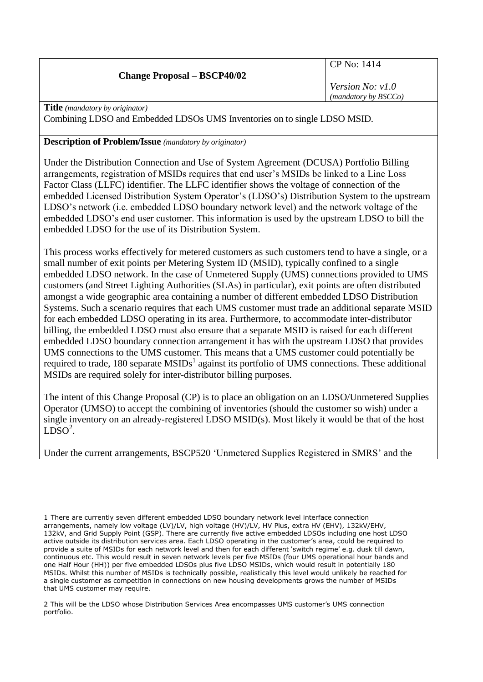## **Change Proposal – BSCP40/02**

CP No: 1414

*Version No: v1.0 (mandatory by BSCCo)*

**Title** *(mandatory by originator)*

Combining LDSO and Embedded LDSOs UMS Inventories on to single LDSO MSID.

#### **Description of Problem/Issue** *(mandatory by originator)*

Under the Distribution Connection and Use of System Agreement (DCUSA) Portfolio Billing arrangements, registration of MSIDs requires that end user's MSIDs be linked to a Line Loss Factor Class (LLFC) identifier. The LLFC identifier shows the voltage of connection of the embedded Licensed Distribution System Operator's (LDSO's) Distribution System to the upstream LDSO's network (i.e. embedded LDSO boundary network level) and the network voltage of the embedded LDSO's end user customer. This information is used by the upstream LDSO to bill the embedded LDSO for the use of its Distribution System.

This process works effectively for metered customers as such customers tend to have a single, or a small number of exit points per Metering System ID (MSID), typically confined to a single embedded LDSO network. In the case of Unmetered Supply (UMS) connections provided to UMS customers (and Street Lighting Authorities (SLAs) in particular), exit points are often distributed amongst a wide geographic area containing a number of different embedded LDSO Distribution Systems. Such a scenario requires that each UMS customer must trade an additional separate MSID for each embedded LDSO operating in its area. Furthermore, to accommodate inter-distributor billing, the embedded LDSO must also ensure that a separate MSID is raised for each different embedded LDSO boundary connection arrangement it has with the upstream LDSO that provides UMS connections to the UMS customer. This means that a UMS customer could potentially be required to trade, 180 separate  $MSIDs<sup>1</sup>$  against its portfolio of UMS connections. These additional MSIDs are required solely for inter-distributor billing purposes.

The intent of this Change Proposal (CP) is to place an obligation on an LDSO/Unmetered Supplies Operator (UMSO) to accept the combining of inventories (should the customer so wish) under a single inventory on an already-registered LDSO MSID(s). Most likely it would be that of the host  $LDSO<sup>2</sup>$ .

Under the current arrangements, BSCP520 'Unmetered Supplies Registered in SMRS' and the

<sup>1</sup> 1 There are currently seven different embedded LDSO boundary network level interface connection arrangements, namely low voltage (LV)/LV, high voltage (HV)/LV, HV Plus, extra HV (EHV), 132kV/EHV, 132kV, and Grid Supply Point (GSP). There are currently five active embedded LDSOs including one host LDSO active outside its distribution services area. Each LDSO operating in the customer's area, could be required to provide a suite of MSIDs for each network level and then for each different 'switch regime' e.g. dusk till dawn, continuous etc. This would result in seven network levels per five MSIDs (four UMS operational hour bands and one Half Hour (HH)) per five embedded LDSOs plus five LDSO MSIDs, which would result in potentially 180 MSIDs. Whilst this number of MSIDs is technically possible, realistically this level would unlikely be reached for a single customer as competition in connections on new housing developments grows the number of MSIDs that UMS customer may require.

<sup>2</sup> This will be the LDSO whose Distribution Services Area encompasses UMS customer's UMS connection portfolio.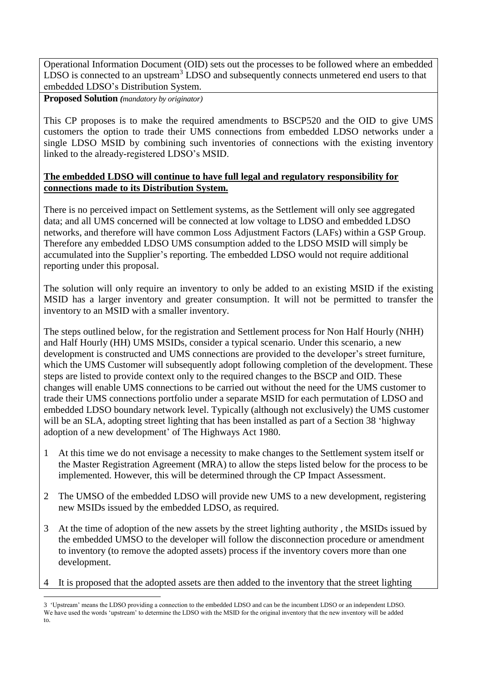Operational Information Document (OID) sets out the processes to be followed where an embedded  $LDSO$  is connected to an upstream<sup>3</sup>  $LDSO$  and subsequently connects unmetered end users to that embedded LDSO's Distribution System.

**Proposed Solution** *(mandatory by originator)*

1

This CP proposes is to make the required amendments to BSCP520 and the OID to give UMS customers the option to trade their UMS connections from embedded LDSO networks under a single LDSO MSID by combining such inventories of connections with the existing inventory linked to the already-registered LDSO's MSID.

### **The embedded LDSO will continue to have full legal and regulatory responsibility for connections made to its Distribution System.**

There is no perceived impact on Settlement systems, as the Settlement will only see aggregated data; and all UMS concerned will be connected at low voltage to LDSO and embedded LDSO networks, and therefore will have common Loss Adjustment Factors (LAFs) within a GSP Group. Therefore any embedded LDSO UMS consumption added to the LDSO MSID will simply be accumulated into the Supplier's reporting. The embedded LDSO would not require additional reporting under this proposal.

The solution will only require an inventory to only be added to an existing MSID if the existing MSID has a larger inventory and greater consumption. It will not be permitted to transfer the inventory to an MSID with a smaller inventory.

The steps outlined below, for the registration and Settlement process for Non Half Hourly (NHH) and Half Hourly (HH) UMS MSIDs, consider a typical scenario. Under this scenario, a new development is constructed and UMS connections are provided to the developer's street furniture, which the UMS Customer will subsequently adopt following completion of the development. These steps are listed to provide context only to the required changes to the BSCP and OID. These changes will enable UMS connections to be carried out without the need for the UMS customer to trade their UMS connections portfolio under a separate MSID for each permutation of LDSO and embedded LDSO boundary network level. Typically (although not exclusively) the UMS customer will be an SLA, adopting street lighting that has been installed as part of a Section 38 'highway adoption of a new development' of The Highways Act 1980.

- 1 At this time we do not envisage a necessity to make changes to the Settlement system itself or the Master Registration Agreement (MRA) to allow the steps listed below for the process to be implemented. However, this will be determined through the CP Impact Assessment.
- 2 The UMSO of the embedded LDSO will provide new UMS to a new development, registering new MSIDs issued by the embedded LDSO, as required.
- 3 At the time of adoption of the new assets by the street lighting authority , the MSIDs issued by the embedded UMSO to the developer will follow the disconnection procedure or amendment to inventory (to remove the adopted assets) process if the inventory covers more than one development.
- It is proposed that the adopted assets are then added to the inventory that the street lighting

<sup>3</sup> 'Upstream' means the LDSO providing a connection to the embedded LDSO and can be the incumbent LDSO or an independent LDSO. We have used the words 'upstream' to determine the LDSO with the MSID for the original inventory that the new inventory will be added to.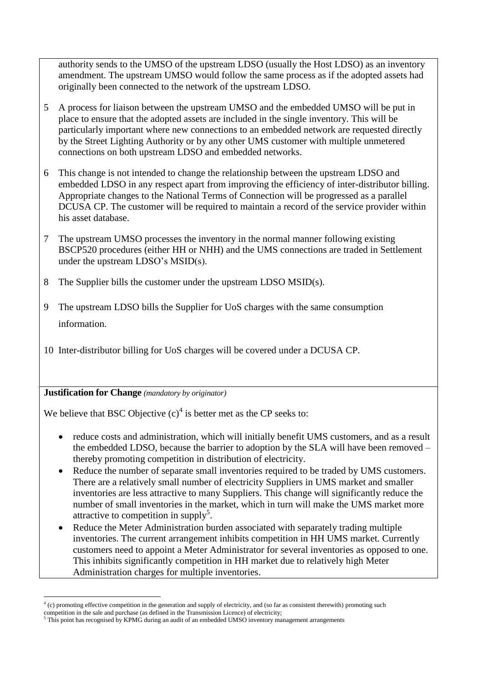authority sends to the UMSO of the upstream LDSO (usually the Host LDSO) as an inventory amendment. The upstream UMSO would follow the same process as if the adopted assets had originally been connected to the network of the upstream LDSO.

- 5 A process for liaison between the upstream UMSO and the embedded UMSO will be put in place to ensure that the adopted assets are included in the single inventory. This will be particularly important where new connections to an embedded network are requested directly by the Street Lighting Authority or by any other UMS customer with multiple unmetered connections on both upstream LDSO and embedded networks.
- 6 This change is not intended to change the relationship between the upstream LDSO and embedded LDSO in any respect apart from improving the efficiency of inter-distributor billing. Appropriate changes to the National Terms of Connection will be progressed as a parallel DCUSA CP. The customer will be required to maintain a record of the service provider within his asset database.
- 7 The upstream UMSO processes the inventory in the normal manner following existing BSCP520 procedures (either HH or NHH) and the UMS connections are traded in Settlement under the upstream LDSO's MSID(s).
- 8 The Supplier bills the customer under the upstream LDSO MSID(s).
- 9 The upstream LDSO bills the Supplier for UoS charges with the same consumption information.
- 10 Inter-distributor billing for UoS charges will be covered under a DCUSA CP.

### **Justification for Change** *(mandatory by originator)*

1

We believe that BSC Objective  $(c)^4$  is better met as the CP seeks to:

- reduce costs and administration, which will initially benefit UMS customers, and as a result the embedded LDSO, because the barrier to adoption by the SLA will have been removed – thereby promoting competition in distribution of electricity.
- Reduce the number of separate small inventories required to be traded by UMS customers. There are a relatively small number of electricity Suppliers in UMS market and smaller inventories are less attractive to many Suppliers. This change will significantly reduce the number of small inventories in the market, which in turn will make the UMS market more attractive to competition in supply<sup>5</sup>.
- Reduce the Meter Administration burden associated with separately trading multiple inventories. The current arrangement inhibits competition in HH UMS market. Currently customers need to appoint a Meter Administrator for several inventories as opposed to one. This inhibits significantly competition in HH market due to relatively high Meter Administration charges for multiple inventories.

<sup>&</sup>lt;sup>4</sup> (c) promoting effective competition in the generation and supply of electricity, and (so far as consistent therewith) promoting such competition in the sale and purchase (as defined in the Transmission Licence) of electricity;

<sup>&</sup>lt;sup>5</sup> This point has recognised by KPMG during an audit of an embedded UMSO inventory management arrangements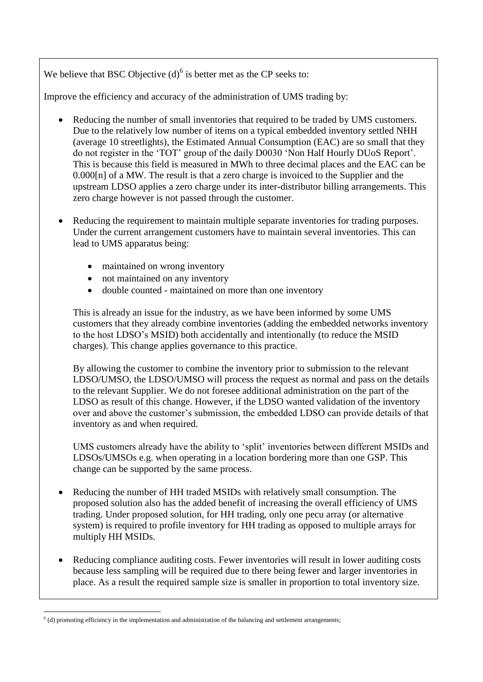# We believe that BSC Objective  $(d)$ <sup>6</sup> is better met as the CP seeks to:

Improve the efficiency and accuracy of the administration of UMS trading by:

- Reducing the number of small inventories that required to be traded by UMS customers. Due to the relatively low number of items on a typical embedded inventory settled NHH (average 10 streetlights), the Estimated Annual Consumption (EAC) are so small that they do not register in the 'TOT' group of the daily D0030 'Non Half Hourly DUoS Report'. This is because this field is measured in MWh to three decimal places and the EAC can be 0.000[n] of a MW. The result is that a zero charge is invoiced to the Supplier and the upstream LDSO applies a zero charge under its inter-distributor billing arrangements. This zero charge however is not passed through the customer.
- Reducing the requirement to maintain multiple separate inventories for trading purposes. Under the current arrangement customers have to maintain several inventories. This can lead to UMS apparatus being:
	- maintained on wrong inventory
	- not maintained on any inventory
	- double counted maintained on more than one inventory

This is already an issue for the industry, as we have been informed by some UMS customers that they already combine inventories (adding the embedded networks inventory to the host LDSO's MSID) both accidentally and intentionally (to reduce the MSID charges). This change applies governance to this practice.

By allowing the customer to combine the inventory prior to submission to the relevant LDSO/UMSO, the LDSO/UMSO will process the request as normal and pass on the details to the relevant Supplier. We do not foresee additional administration on the part of the LDSO as result of this change. However, if the LDSO wanted validation of the inventory over and above the customer's submission, the embedded LDSO can provide details of that inventory as and when required.

UMS customers already have the ability to 'split' inventories between different MSIDs and LDSOs/UMSOs e.g. when operating in a location bordering more than one GSP. This change can be supported by the same process.

- Reducing the number of HH traded MSIDs with relatively small consumption. The proposed solution also has the added benefit of increasing the overall efficiency of UMS trading. Under proposed solution, for HH trading, only one pecu array (or alternative system) is required to profile inventory for HH trading as opposed to multiple arrays for multiply HH MSIDs.
- Reducing compliance auditing costs. Fewer inventories will result in lower auditing costs because less sampling will be required due to there being fewer and larger inventories in place. As a result the required sample size is smaller in proportion to total inventory size.

<sup>1</sup>  $6$  (d) promoting efficiency in the implementation and administration of the balancing and settlement arrangements;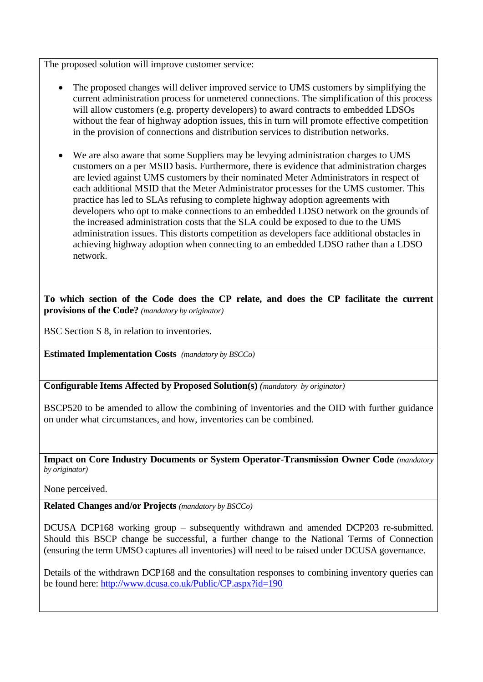The proposed solution will improve customer service:

- The proposed changes will deliver improved service to UMS customers by simplifying the current administration process for unmetered connections. The simplification of this process will allow customers (e.g. property developers) to award contracts to embedded LDSOs without the fear of highway adoption issues, this in turn will promote effective competition in the provision of connections and distribution services to distribution networks.
- We are also aware that some Suppliers may be levying administration charges to UMS customers on a per MSID basis. Furthermore, there is evidence that administration charges are levied against UMS customers by their nominated Meter Administrators in respect of each additional MSID that the Meter Administrator processes for the UMS customer. This practice has led to SLAs refusing to complete highway adoption agreements with developers who opt to make connections to an embedded LDSO network on the grounds of the increased administration costs that the SLA could be exposed to due to the UMS administration issues. This distorts competition as developers face additional obstacles in achieving highway adoption when connecting to an embedded LDSO rather than a LDSO network.

**To which section of the Code does the CP relate, and does the CP facilitate the current provisions of the Code?** *(mandatory by originator)*

BSC Section S 8, in relation to inventories.

**Estimated Implementation Costs** *(mandatory by BSCCo)*

**Configurable Items Affected by Proposed Solution(s)** *(mandatory by originator)*

BSCP520 to be amended to allow the combining of inventories and the OID with further guidance on under what circumstances, and how, inventories can be combined.

**Impact on Core Industry Documents or System Operator-Transmission Owner Code** *(mandatory by originator)*

None perceived.

**Related Changes and/or Projects** *(mandatory by BSCCo)*

DCUSA DCP168 working group – subsequently withdrawn and amended DCP203 re-submitted. Should this BSCP change be successful, a further change to the National Terms of Connection (ensuring the term UMSO captures all inventories) will need to be raised under DCUSA governance.

Details of the withdrawn DCP168 and the consultation responses to combining inventory queries can be found here:<http://www.dcusa.co.uk/Public/CP.aspx?id=190>